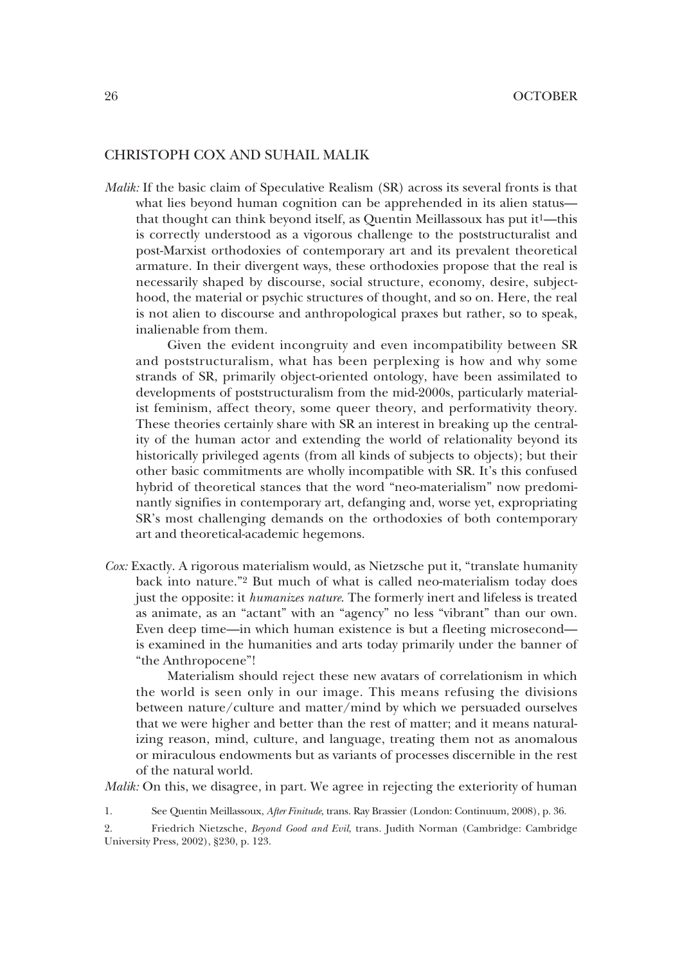## CHRISTOPH COX AND SUHAIL MALIK

*Malik:* If the basic claim of Speculative Realism (SR) across its several fronts is that what lies beyond human cognition can be apprehended in its alien status that thought can think beyond itself, as Quentin Meillassoux has put it1—this is correctly understood as a vigorous challenge to the poststructuralist and post-Marxist orthodoxies of contemporary art and its prevalent theoretical armature. In their divergent ways, these orthodoxies propose that the real is necessarily shaped by discourse, social structure, economy, desire, subjecthood, the material or psychic structures of thought, and so on. Here, the real is not alien to discourse and anthropological praxes but rather, so to speak, inalienable from them.

Given the evident incongruity and even incompatibility between SR and poststructuralism, what has been perplexing is how and why some strands of SR, primarily object-oriented ontology, have been assimilated to developments of poststructuralism from the mid-2000s, particularly materialist feminism, affect theory, some queer theory, and performativity theory. These theories certainly share with SR an interest in breaking up the centrality of the human actor and extending the world of relationality beyond its historically privileged agents (from all kinds of subjects to objects); but their other basic commitments are wholly incompatible with SR. It's this confused hybrid of theoretical stances that the word "neo-materialism" now predominantly signifies in contemporary art, defanging and, worse yet, expropriating SR's most challenging demands on the orthodoxies of both contemporary art and theoretical-academic hegemons.

*Cox:* Exactly. A rigorous materialism would, as Nietzsche put it, "translate humanity back into nature."2 But much of what is called neo-materialism today does just the opposite: it *humanizes nature*. The formerly inert and lifeless is treated as animate, as an "actant" with an "agency" no less "vibrant" than our own. Even deep time—in which human existence is but a fleeting microsecond is examined in the humanities and arts today primarily under the banner of "the Anthropocene"!

Materialism should reject these new avatars of correlationism in which the world is seen only in our image. This means refusing the divisions between nature/culture and matter/mind by which we persuaded ourselves that we were higher and better than the rest of matter; and it means naturalizing reason, mind, culture, and language, treating them not as anomalous or miraculous endowments but as variants of processes discernible in the rest of the natural world.

*Malik:* On this, we disagree, in part. We agree in rejecting the exteriority of human

1. See Quentin Meillassoux, *After Finitude*, trans. Ray Brassier (London: Continuum, 2008), p. 36.

<sup>2.</sup> Friedrich Nietzsche, *Beyond Good and Evil*, trans. Judith Norman (Cambridge: Cambridge University Press, 2002), §230, p. 123.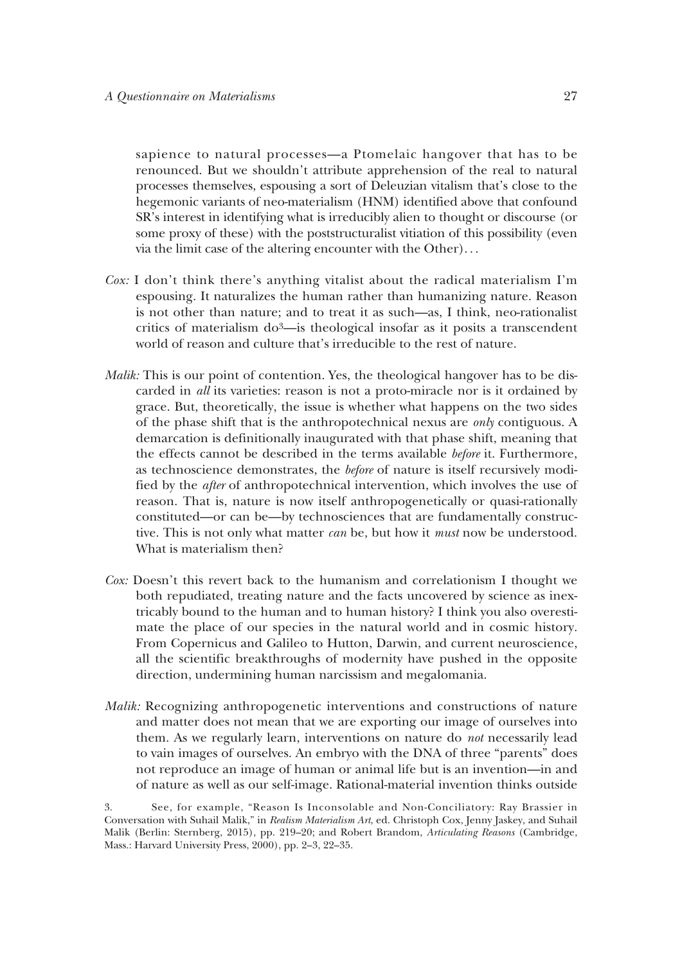sapience to natural processes—a Ptomelaic hangover that has to be renounced. But we shouldn't attribute apprehension of the real to natural processes themselves, espousing a sort of Deleuzian vitalism that's close to the hegemonic variants of neo-materialism (HNM) identified above that confound SR's interest in identifying what is irreducibly alien to thought or discourse (or some proxy of these) with the poststructuralist vitiation of this possibility (even via the limit case of the altering encounter with the Other). . .

- *Cox:* I don't think there's anything vitalist about the radical materialism I'm espousing. It naturalizes the human rather than humanizing nature. Reason is not other than nature; and to treat it as such—as, I think, neo-rationalist critics of materialism do3—is theological insofar as it posits a transcendent world of reason and culture that's irreducible to the rest of nature.
- *Malik:* This is our point of contention. Yes, the theological hangover has to be discarded in *all* its varieties: reason is not a proto-miracle nor is it ordained by grace. But, theoretically, the issue is whether what happens on the two sides of the phase shift that is the anthropotechnical nexus are *only* contiguous. A demarcation is definitionally inaugurated with that phase shift, meaning that the effects cannot be described in the terms available *before* it. Furthermore, as technoscience demonstrates, the *before* of nature is itself recursively modified by the *after* of anthropotechnical intervention, which involves the use of reason. That is, nature is now itself anthropogenetically or quasi-rationally constituted—or can be—by technosciences that are fundamentally constructive. This is not only what matter *can* be, but how it *must* now be understood. What is materialism then?
- *Cox:* Doesn't this revert back to the humanism and correlationism I thought we both repudiated, treating nature and the facts uncovered by science as inextricably bound to the human and to human history? I think you also overestimate the place of our species in the natural world and in cosmic history. From Copernicus and Galileo to Hutton, Darwin, and current neuroscience, all the scientific breakthroughs of modernity have pushed in the opposite direction, undermining human narcissism and megalomania.
- *Malik:* Recognizing anthropogenetic interventions and constructions of nature and matter does not mean that we are exporting our image of ourselves into them. As we regularly learn, interventions on nature do *not* necessarily lead to vain images of ourselves. An embryo with the DNA of three "parents" does not reproduce an image of human or animal life but is an invention—in and of nature as well as our self-image. Rational-material invention thinks outside

<sup>3.</sup> See, for example, "Reason Is Inconsolable and Non-Conciliatory: Ray Brassier in Conversation with Suhail Malik," in *Realism Materialism Art*, ed. Christoph Cox, Jenny Jaskey, and Suhail Malik (Berlin: Sternberg, 2015), pp. 219–20; and Robert Brandom, *Articulating Reasons* (Cambridge, Mass.: Harvard University Press, 2000), pp. 2–3, 22–35.